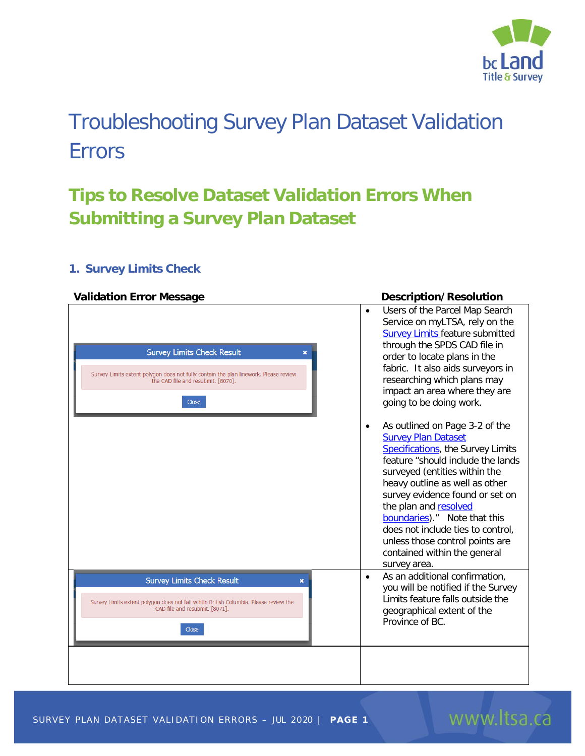

# Troubleshooting Survey Plan Dataset Validation Errors

## **Tips to Resolve Dataset Validation Errors When Submitting a Survey Plan Dataset**

### **1. Survey Limits Check**

#### **Validation Error Message Description/Resolution**

| <b>Survey Limits Check Result</b><br>×<br>Survey Limits extent polygon does not fully contain the plan linework. Please review<br>the CAD file and resubmit. [8070].<br><b>Close</b> | Users of the Parcel Map Search<br>$\bullet$<br>Service on myLTSA, rely on the<br><b>Survey Limits feature submitted</b><br>through the SPDS CAD file in<br>order to locate plans in the<br>fabric. It also aids surveyors in<br>researching which plans may<br>impact an area where they are<br>going to be doing work.                                                                                                                            |
|--------------------------------------------------------------------------------------------------------------------------------------------------------------------------------------|----------------------------------------------------------------------------------------------------------------------------------------------------------------------------------------------------------------------------------------------------------------------------------------------------------------------------------------------------------------------------------------------------------------------------------------------------|
|                                                                                                                                                                                      | As outlined on Page 3-2 of the<br>$\bullet$<br><b>Survey Plan Dataset</b><br><b>Specifications</b> , the Survey Limits<br>feature "should include the lands<br>surveyed (entities within the<br>heavy outline as well as other<br>survey evidence found or set on<br>the plan and resolved<br>boundaries)." Note that this<br>does not include ties to control,<br>unless those control points are<br>contained within the general<br>survey area. |
| <b>Survey Limits Check Result</b><br>×<br>Survey Limits extent polygon does not fall wihtin British Columbia. Please review the<br>CAD file and resubmit. [8071].<br><b>Close</b>    | As an additional confirmation,<br>$\bullet$<br>you will be notified if the Survey<br>Limits feature falls outside the<br>geographical extent of the<br>Province of BC.                                                                                                                                                                                                                                                                             |
|                                                                                                                                                                                      |                                                                                                                                                                                                                                                                                                                                                                                                                                                    |

www.ltsa.ca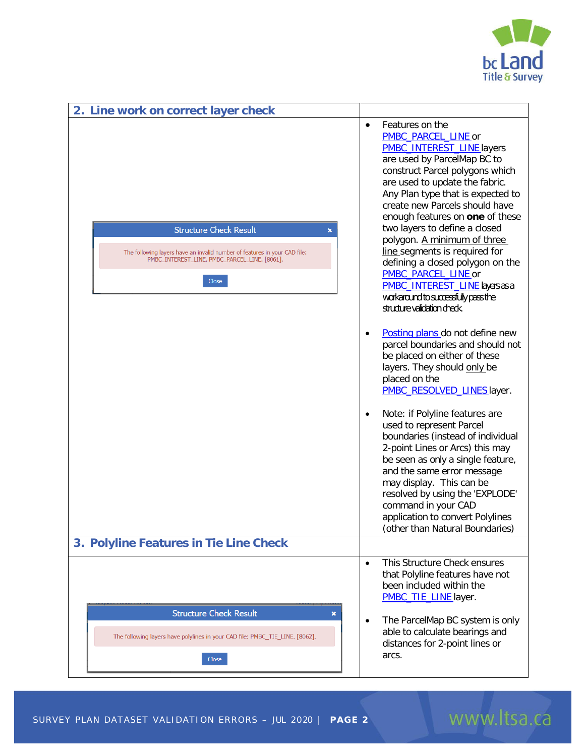

| 2. Line work on correct layer check                                                                                                                                                    |                                                                                                                                                                                                                                                                                                                                                                                 |
|----------------------------------------------------------------------------------------------------------------------------------------------------------------------------------------|---------------------------------------------------------------------------------------------------------------------------------------------------------------------------------------------------------------------------------------------------------------------------------------------------------------------------------------------------------------------------------|
|                                                                                                                                                                                        | Features on the<br>$\bullet$<br>PMBC_PARCEL_LINE or<br><b>PMBC_INTEREST_LINE</b> layers<br>are used by ParcelMap BC to<br>construct Parcel polygons which<br>are used to update the fabric.<br>Any Plan type that is expected to<br>create new Parcels should have<br>enough features on one of these                                                                           |
| <b>Structure Check Result</b><br>$\pmb{\times}$<br>The following layers have an invalid number of features in your CAD file:<br>PMBC_INTEREST_LINE, PMBC_PARCEL_LINE. [8061].<br>Close | two layers to define a closed<br>polygon. A minimum of three<br>line segments is required for<br>defining a closed polygon on the<br>PMBC_PARCEL_LINE or<br>PMBC_INTEREST_LINE_layers as a<br>workaround to successfully pass the                                                                                                                                               |
|                                                                                                                                                                                        | structure validation check.<br>Posting plans do not define new<br>$\bullet$<br>parcel boundaries and should not<br>be placed on either of these<br>layers. They should only be<br>placed on the<br>PMBC_RESOLVED_LINES layer.                                                                                                                                                   |
|                                                                                                                                                                                        | Note: if Polyline features are<br>$\bullet$<br>used to represent Parcel<br>boundaries (instead of individual<br>2-point Lines or Arcs) this may<br>be seen as only a single feature,<br>and the same error message<br>may display. This can be<br>resolved by using the 'EXPLODE'<br>command in your CAD<br>application to convert Polylines<br>(other than Natural Boundaries) |
| 3. Polyline Features in Tie Line Check                                                                                                                                                 |                                                                                                                                                                                                                                                                                                                                                                                 |
|                                                                                                                                                                                        | This Structure Check ensures<br>$\bullet$<br>that Polyline features have not<br>been included within the<br>PMBC_TIE_LINE layer.                                                                                                                                                                                                                                                |
| <b>Structure Check Result</b><br>×<br>The following layers have polylines in your CAD file: PMBC_TIE_LINE. [8062].<br>Close                                                            | The ParcelMap BC system is only<br>$\bullet$<br>able to calculate bearings and<br>distances for 2-point lines or<br>arcs.                                                                                                                                                                                                                                                       |

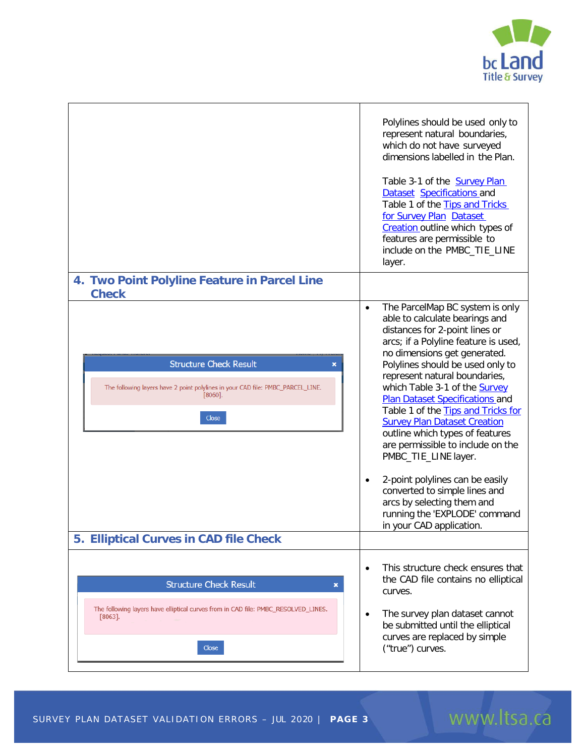

|                                                                                                                                                      | Polylines should be used only to<br>represent natural boundaries,<br>which do not have surveyed<br>dimensions labelled in the Plan.<br>Table 3-1 of the <b>Survey Plan</b><br>Dataset Specifications and<br>Table 1 of the Tips and Tricks<br>for Survey Plan Dataset<br>Creation outline which types of<br>features are permissible to<br>include on the PMBC_TIE_LINE<br>layer.                                                                                                                                                                                                                                                                                                                        |
|------------------------------------------------------------------------------------------------------------------------------------------------------|----------------------------------------------------------------------------------------------------------------------------------------------------------------------------------------------------------------------------------------------------------------------------------------------------------------------------------------------------------------------------------------------------------------------------------------------------------------------------------------------------------------------------------------------------------------------------------------------------------------------------------------------------------------------------------------------------------|
| 4. Two Point Polyline Feature in Parcel Line<br><b>Check</b>                                                                                         |                                                                                                                                                                                                                                                                                                                                                                                                                                                                                                                                                                                                                                                                                                          |
| <b>Structure Check Result</b><br>×<br>The following layers have 2 point polylines in your CAD file: PMBC_PARCEL_LINE.<br>[8060].<br>Close            | The ParcelMap BC system is only<br>$\bullet$<br>able to calculate bearings and<br>distances for 2-point lines or<br>arcs; if a Polyline feature is used,<br>no dimensions get generated.<br>Polylines should be used only to<br>represent natural boundaries,<br>which Table 3-1 of the <b>Survey</b><br><b>Plan Dataset Specifications and</b><br>Table 1 of the Tips and Tricks for<br><b>Survey Plan Dataset Creation</b><br>outline which types of features<br>are permissible to include on the<br>PMBC_TIE_LINE layer.<br>2-point polylines can be easily<br>$\bullet$<br>converted to simple lines and<br>arcs by selecting them and<br>running the 'EXPLODE' command<br>in your CAD application. |
| 5. Elliptical Curves in CAD file Check                                                                                                               |                                                                                                                                                                                                                                                                                                                                                                                                                                                                                                                                                                                                                                                                                                          |
| <b>Structure Check Result</b><br>×<br>The following layers have elliptical curves from in CAD file: PMBC_RESOLVED_LINES.<br>$[8063]$<br><b>Close</b> | This structure check ensures that<br>$\bullet$<br>the CAD file contains no elliptical<br>curves.<br>The survey plan dataset cannot<br>$\bullet$<br>be submitted until the elliptical<br>curves are replaced by simple<br>("true") curves.                                                                                                                                                                                                                                                                                                                                                                                                                                                                |

# www.ltsa.ca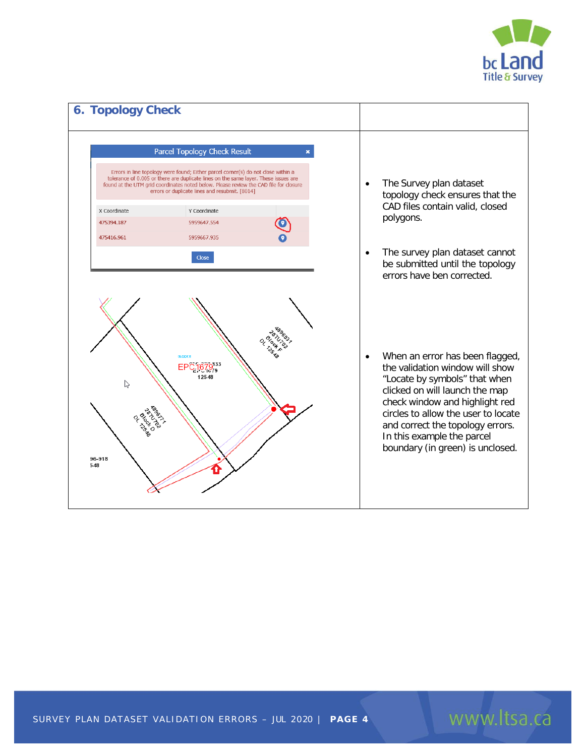

www.ltsa.ca